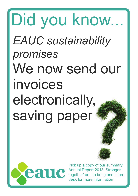## Did you know... *EAUC sustainability promises* We now send our invoices electronically, saving paper

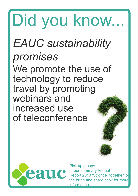#### *EAUC sustainability promises* We promote the use of technology to reduce travel by promoting webinars and increased use of teleconference Did you know...

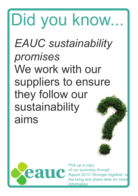#### *EAUC sustainability promises* We work with our suppliers to ensure they follow our sustainability aims Did you know...

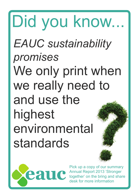#### *EAUC sustainability promises* We only print when we really need to and use the highest environmental standards Did you know...

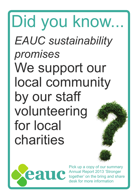#### *EAUC sustainability promises* We support our local community by our staff volunteering for local charities Did you know...

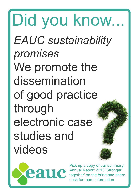*EAUC sustainability promises* We promote the dissemination of good practice through electronic case studies and videos Did you know...

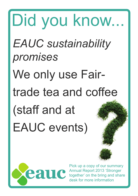## *EAUC sustainability promises* We only use Fairtrade tea and coffee (staff and at EAUC events) Did you know...

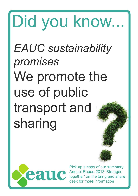## *EAUC sustainability promises* We promote the use of public transport and sharing Did you know...

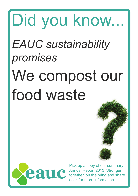# *EAUC sustainability promises* We compost our food waste Did you know...

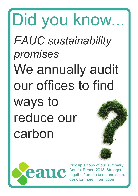## *EAUC sustainability promises* We annually audit our offices to find ways to reduce our carbon Did you know...

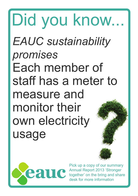*EAUC sustainability promises* Each member of staff has a meter to measure and monitor their own electricity usage Did you know...